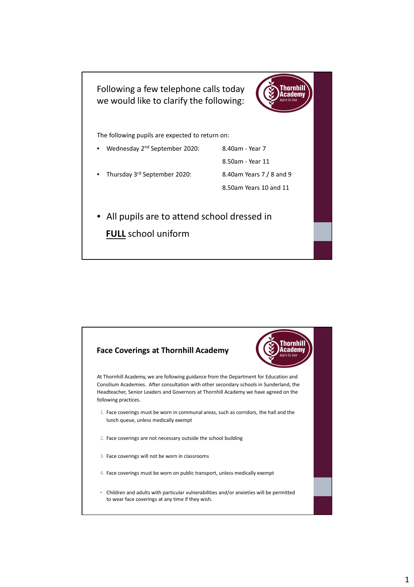